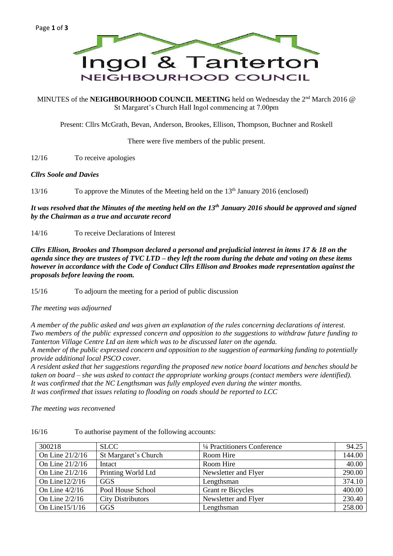

MINUTES of the **NEIGHBOURHOOD COUNCIL MEETING** held on Wednesday the 2<sup>nd</sup> March 2016 @ St Margaret's Church Hall Ingol commencing at 7.00pm

Present: Cllrs McGrath, Bevan, Anderson, Brookes, Ellison, Thompson, Buchner and Roskell

There were five members of the public present.

12/16 To receive apologies

#### *Cllrs Soole and Davies*

13/16 To approve the Minutes of the Meeting held on the 13<sup>th</sup> January 2016 (enclosed)

*It was resolved that the Minutes of the meeting held on the 13th January 2016 should be approved and signed by the Chairman as a true and accurate record*

14/16 To receive Declarations of Interest

*Cllrs Ellison, Brookes and Thompson declared a personal and prejudicial interest in items 17 & 18 on the agenda since they are trustees of TVC LTD – they left the room during the debate and voting on these items however in accordance with the Code of Conduct Cllrs Ellison and Brookes made representation against the proposals before leaving the room.*

15/16 To adjourn the meeting for a period of public discussion

*The meeting was adjourned*

*A member of the public asked and was given an explanation of the rules concerning declarations of interest. Two members of the public expressed concern and opposition to the suggestions to withdraw future funding to Tanterton Village Centre Ltd an item which was to be discussed later on the agenda.*

*A member of the public expressed concern and opposition to the suggestion of earmarking funding to potentially provide additional local PSCO cover.*

*A resident asked that her suggestions regarding the proposed new notice board locations and benches should be taken on board – she was asked to contact the appropriate working groups (contact members were identified). It was confirmed that the NC Lengthsman was fully employed even during the winter months. It was confirmed that issues relating to flooding on roads should be reported to LCC*

*The meeting was reconvened*

| 300218            | <b>SLCC</b>              | 1/4 Practitioners Conference | 94.25  |
|-------------------|--------------------------|------------------------------|--------|
| On Line 21/2/16   | St Margaret's Church     | Room Hire                    | 144.00 |
| On Line 21/2/16   | Intact                   | Room Hire                    | 40.00  |
| On Line 21/2/16   | Printing World Ltd       | Newsletter and Flyer         | 290.00 |
| On Line $12/2/16$ | GGS                      | Lengthsman                   | 374.10 |
| On Line $4/2/16$  | Pool House School        | Grant re Bicycles            | 400.00 |
| On Line $2/2/16$  | <b>City Distributors</b> | Newsletter and Flyer         | 230.40 |
| On Line $15/1/16$ | <b>GGS</b>               | Lengthsman                   | 258.00 |

16/16 To authorise payment of the following accounts: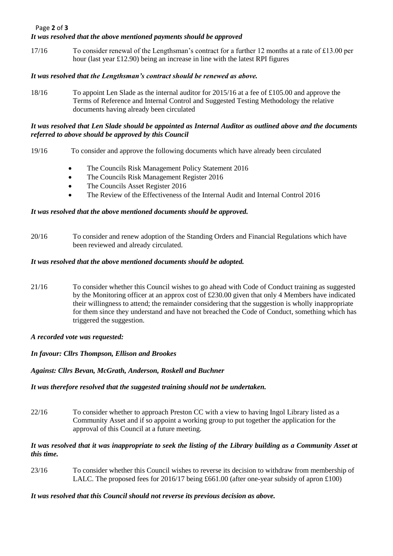## Page **2** of **3** *It was resolved that the above mentioned payments should be approved*

17/16 To consider renewal of the Lengthsman's contract for a further 12 months at a rate of £13.00 per hour (last year £12.90) being an increase in line with the latest RPI figures

# *It was resolved that the Lengthsman's contract should be renewed as above.*

18/16 To appoint Len Slade as the internal auditor for 2015/16 at a fee of £105.00 and approve the Terms of Reference and Internal Control and Suggested Testing Methodology the relative documents having already been circulated

# *It was resolved that Len Slade should be appointed as Internal Auditor as outlined above and the documents referred to above should be approved by this Council*

- 19/16 To consider and approve the following documents which have already been circulated
	- The Councils Risk Management Policy Statement 2016
	- The Councils Risk Management Register 2016
	- The Councils Asset Register 2016
	- The Review of the Effectiveness of the Internal Audit and Internal Control 2016

## *It was resolved that the above mentioned documents should be approved.*

20/16 To consider and renew adoption of the Standing Orders and Financial Regulations which have been reviewed and already circulated.

## *It was resolved that the above mentioned documents should be adopted.*

- 21/16 To consider whether this Council wishes to go ahead with Code of Conduct training as suggested by the Monitoring officer at an approx cost of £230.00 given that only 4 Members have indicated their willingness to attend; the remainder considering that the suggestion is wholly inappropriate for them since they understand and have not breached the Code of Conduct, something which has triggered the suggestion.
- *A recorded vote was requested:*

*In favour: Cllrs Thompson, Ellison and Brookes*

#### *Against: Cllrs Bevan, McGrath, Anderson, Roskell and Buchner*

# *It was therefore resolved that the suggested training should not be undertaken.*

22/16 To consider whether to approach Preston CC with a view to having Ingol Library listed as a Community Asset and if so appoint a working group to put together the application for the approval of this Council at a future meeting.

## *It was resolved that it was inappropriate to seek the listing of the Library building as a Community Asset at this time.*

23/16 To consider whether this Council wishes to reverse its decision to withdraw from membership of LALC. The proposed fees for 2016/17 being £661.00 (after one-year subsidy of apron £100)

# *It was resolved that this Council should not reverse its previous decision as above.*